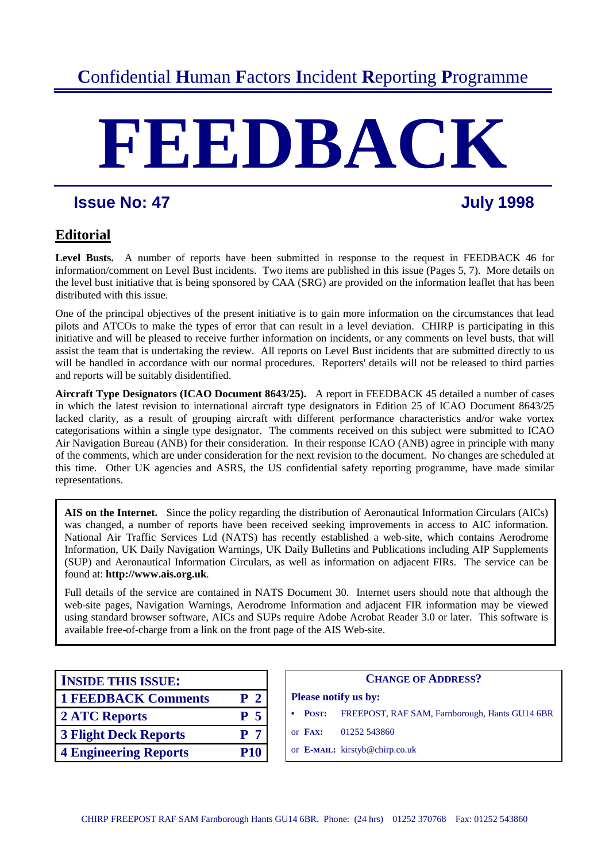# **C**onfidential **H**uman **F**actors **I**ncident **R**eporting **P**rogramme

# **FEEDBACK**

# **Issue No: 47 July 1998**

# **Editorial**

Level Busts. A number of reports have been submitted in response to the request in FEEDBACK 46 for information/comment on Level Bust incidents. Two items are published in this issue (Pages 5, 7). More details on the level bust initiative that is being sponsored by CAA (SRG) are provided on the information leaflet that has been distributed with this issue.

One of the principal objectives of the present initiative is to gain more information on the circumstances that lead pilots and ATCOs to make the types of error that can result in a level deviation. CHIRP is participating in this initiative and will be pleased to receive further information on incidents, or any comments on level busts, that will assist the team that is undertaking the review*.* All reports on Level Bust incidents that are submitted directly to us will be handled in accordance with our normal procedures. Reporters' details will not be released to third parties and reports will be suitably disidentified.

**Aircraft Type Designators (ICAO Document 8643/25).** A report in FEEDBACK 45 detailed a number of cases in which the latest revision to international aircraft type designators in Edition 25 of ICAO Document 8643/25 lacked clarity, as a result of grouping aircraft with different performance characteristics and/or wake vortex categorisations within a single type designator. The comments received on this subject were submitted to ICAO Air Navigation Bureau (ANB) for their consideration. In their response ICAO (ANB) agree in principle with many of the comments, which are under consideration for the next revision to the document. No changes are scheduled at this time. Other UK agencies and ASRS, the US confidential safety reporting programme, have made similar representations.

**AIS on the Internet.** Since the policy regarding the distribution of Aeronautical Information Circulars (AICs) was changed, a number of reports have been received seeking improvements in access to AIC information. National Air Traffic Services Ltd (NATS) has recently established a web-site, which contains Aerodrome Information, UK Daily Navigation Warnings, UK Daily Bulletins and Publications including AIP Supplements (SUP) and Aeronautical Information Circulars, as well as information on adjacent FIRs. The service can be found at: **http://www.ais.org.uk**.

Full details of the service are contained in NATS Document 30. Internet users should note that although the web-site pages, Navigation Warnings, Aerodrome Information and adjacent FIR information may be viewed using standard browser software, AICs and SUPs require Adobe Acrobat Reader 3.0 or later. This software is available free-of-charge from a link on the front page of the AIS Web-site.

| <b>INSIDE THIS ISSUE:</b>    |                | <b>CHANGE OF ADDRESS?</b>                      |
|------------------------------|----------------|------------------------------------------------|
| <b>1 FEEDBACK Comments</b>   | P <sub>2</sub> | <b>Please notify us by:</b>                    |
| 2 ATC Reports                | P <sub>5</sub> | FREEPOST, RAF SAM, Farnborough<br><b>POST:</b> |
| <b>3 Flight Deck Reports</b> | P <sub>7</sub> | 01252 543860<br>or FAX:                        |
| <b>4 Engineering Reports</b> | <b>P10</b>     | or <b>E-MAIL:</b> kirstyb@chirp.co.uk          |

| <b>INSIDE THIS ISSUE:</b>    |                | <b>CHANGE OF ADDRESS?</b>                               |
|------------------------------|----------------|---------------------------------------------------------|
| <b>1 FEEDBACK Comments</b>   | P <sub>2</sub> | <b>Please notify us by:</b>                             |
| <b>2 ATC Reports</b>         | P <sub>5</sub> | FREEPOST, RAF SAM, Farnborough, Hants GU14 6BR<br>POST: |
| <b>3 Flight Deck Reports</b> | P <sub>7</sub> | or $\mathbf{F}$ AX:<br>01252 543860                     |
| <b>4 Engineering Reports</b> | <b>P10</b>     | or E-MAIL: kirstyb@chirp.co.uk                          |
|                              |                |                                                         |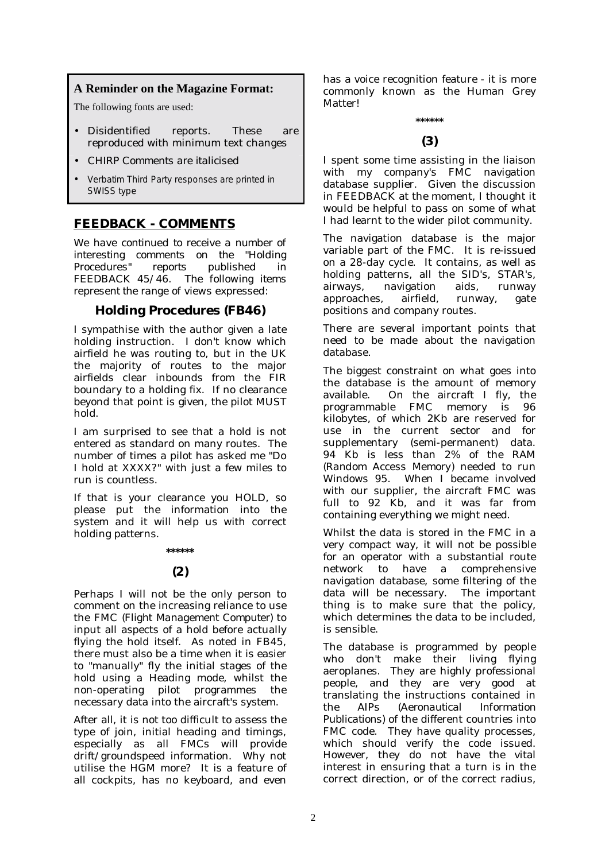# **A Reminder on the Magazine Format:**

The following fonts are used:

- Disidentified reports. These are reproduced with minimum text changes
- *CHIRP Comments are italicised*
- Verbatim Third Party responses are printed in SWISS type

# **FEEDBACK - COMMENTS**

*We have continued to receive a number of interesting comments on the "Holding Procedures" reports published in FEEDBACK 45/46. The following items represent the range of views expressed:* 

## **Holding Procedures (FB46)**

I sympathise with the author given a late holding instruction. I don't know which airfield he was routing to, but in the UK the majority of routes to the major airfields clear inbounds from the FIR boundary to a holding fix. If no clearance beyond that point is given, the pilot MUST hold.

I am surprised to see that a hold is not entered as standard on many routes. The number of times a pilot has asked me "Do I hold at XXXX?" with just a few miles to run is countless.

If that is your clearance you HOLD, so please put the information into the system and it will help us with correct holding patterns.

### **\*\*\*\*\*\***

### **(2)**

Perhaps I will not be the only person to comment on the increasing reliance to use the FMC *(Flight Management Computer)* to input all aspects of a hold before actually flying the hold itself. As noted in FB45, there must also be a time when it is easier to "manually" fly the initial stages of the hold using a Heading mode, whilst the non-operating pilot programmes the necessary data into the aircraft's system.

After all, it is not too difficult to assess the type of join, initial heading and timings, especially as all FMCs will provide drift/groundspeed information. Why not utilise the HGM more? It is a feature of all cockpits, has no keyboard, and even has a voice recognition feature - it is more commonly known as the Human Grey Matter!

# **\*\*\*\*\*\* (3)**

I spent some time assisting in the liaison with my company's FMC navigation database supplier. Given the discussion in FEEDBACK at the moment, I thought it would be helpful to pass on some of what I had learnt to the wider pilot community.

The navigation database is the major variable part of the FMC. It is re-issued on a 28-day cycle. It contains, as well as holding patterns, all the SID's, STAR's, airways, navigation aids, runway approaches, airfield, runway, gate positions and company routes.

There are several important points that need to be made about the navigation database.

The biggest constraint on what goes into the database is the amount of memory available. On the aircraft I fly, the programmable FMC memory is 96 kilobytes, of which 2Kb are reserved for use in the current sector and for supplementary (semi-permanent) data. 94 Kb is less than 2% of the RAM *(Random Access Memory)* needed to run Windows 95. When I became involved with our supplier, the aircraft FMC was full to 92 Kb, and it was far from containing everything we might need.

Whilst the data is stored in the FMC in a very compact way, it will not be possible for an operator with a substantial route network to have a comprehensive navigation database, some filtering of the data will be necessary. The important thing is to make sure that the policy, which determines the data to be included, is sensible.

The database is programmed by people who don't make their living flying aeroplanes. They are highly professional people, and they are very good at translating the instructions contained in the AIPs *(Aeronautical Information Publications)* of the different countries into FMC code. They have quality processes, which should verify the code issued. However, they do not have the vital interest in ensuring that a turn is in the correct direction, or of the correct radius,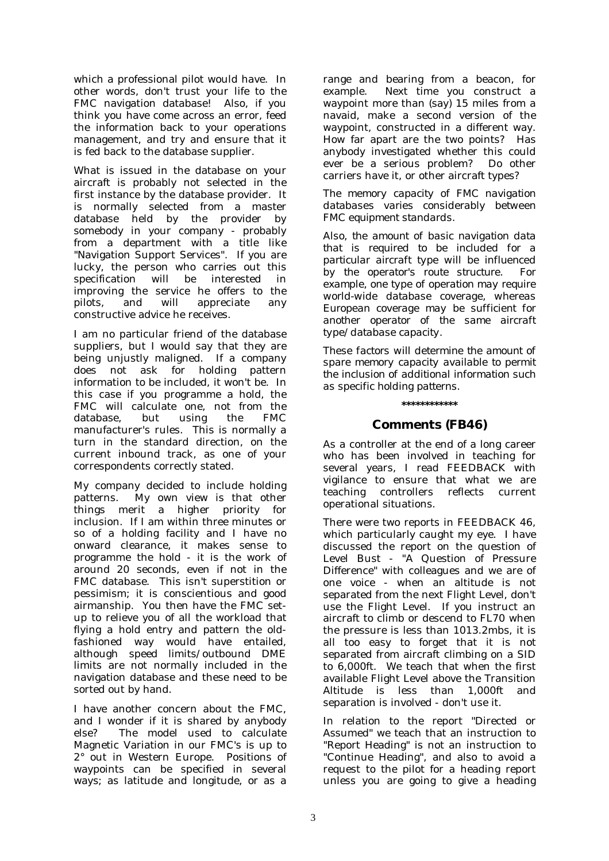which a professional pilot would have. In other words, don't trust your life to the FMC navigation database! Also, if you think you have come across an error, feed the information back to your operations management, and try and ensure that it is fed back to the database supplier.

What is issued in the database on your aircraft is probably not selected in the first instance by the database provider. It is normally selected from a master database held by the provider by somebody in your company - probably from a department with a title like "Navigation Support Services". If you are lucky, the person who carries out this specification will be interested in improving the service he offers to the pilots, and will appreciate any constructive advice he receives.

I am no particular friend of the database suppliers, but I would say that they are being unjustly maligned. If a company does not ask for holding pattern information to be included, it won't be. In this case if you programme a hold, the FMC will calculate one, not from the database, but using the FMC manufacturer's rules. This is normally a turn in the standard direction, on the current inbound track, as one of your correspondents correctly stated.

My company decided to include holding patterns. My own view is that other things merit a higher priority for inclusion. If I am within three minutes or so of a holding facility and I have no onward clearance, it makes sense to programme the hold - it is the work of around 20 seconds, even if not in the FMC database. This isn't superstition or pessimism; it is conscientious and good airmanship. You then have the FMC setup to relieve you of all the workload that flying a hold entry and pattern the oldfashioned way would have entailed, although speed limits/outbound DME limits are not normally included in the navigation database and these need to be sorted out by hand.

I have another concern about the FMC, and I wonder if it is shared by anybody else? The model used to calculate Magnetic Variation in our FMC's is up to 2° out in Western Europe. Positions of waypoints can be specified in several ways; as latitude and longitude, or as a

range and bearing from a beacon, for example. Next time you construct a waypoint more than (say) 15 miles from a navaid, make a second version of the waypoint, constructed in a different way. How far apart are the two points? Has anybody investigated whether this could ever be a serious problem? Do other carriers have it, or other aircraft types?

*The memory capacity of FMC navigation databases varies considerably between FMC equipment standards.* 

*Also, the amount of basic navigation data that is required to be included for a particular aircraft type will be influenced by the operator's route structure. For example, one type of operation may require world-wide database coverage, whereas European coverage may be sufficient for another operator of the same aircraft type/database capacity.* 

*These factors will determine the amount of spare memory capacity available to permit the inclusion of additional information such as specific holding patterns.* 

### **\*\*\*\*\*\*\*\*\*\*\*\***

### **Comments (FB46)**

As a controller at the end of a long career who has been involved in teaching for several years, I read FEEDBACK with vigilance to ensure that what we are teaching controllers reflects current operational situations.

There were two reports in FEEDBACK 46, which particularly caught my eye. I have discussed the report on the question of Level Bust - "A Question of Pressure Difference" with colleagues and we are of one voice - when an altitude is not separated from the next Flight Level, don't use the Flight Level. If you instruct an aircraft to climb or descend to FL70 when the pressure is less than 1013.2mbs, it is all too easy to forget that it is not separated from aircraft climbing on a SID to 6,000ft. We teach that when the first available Flight Level above the Transition Altitude is less than 1,000ft and separation is involved - don't use it.

In relation to the report "Directed or Assumed" we teach that an instruction to "Report Heading" is not an instruction to "Continue Heading", and also to avoid a request to the pilot for a heading report unless you are going to give a heading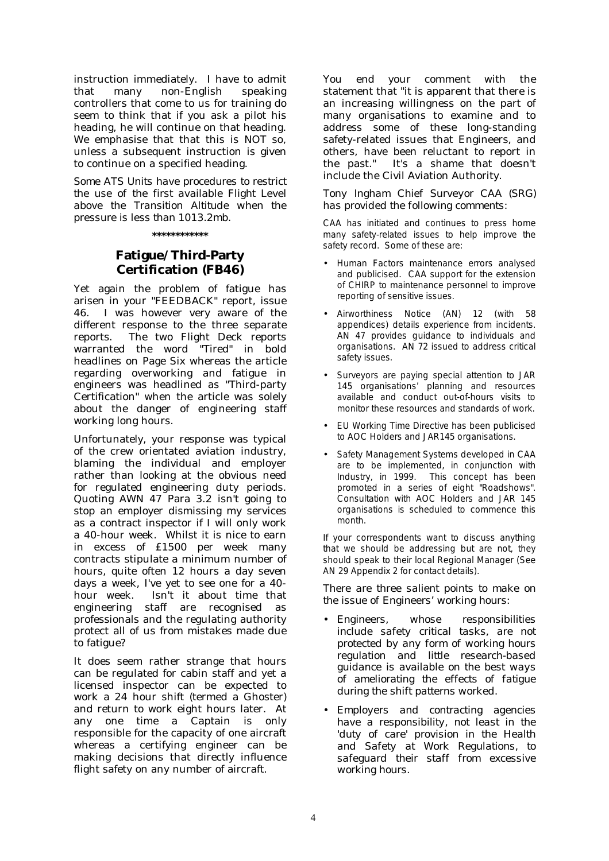instruction immediately. I have to admit that many non-English speaking controllers that come to us for training do seem to think that if you ask a pilot his heading, he will continue on that heading. We emphasise that that this is NOT so, unless a subsequent instruction is given to continue on a specified heading.

*Some ATS Units have procedures to restrict the use of the first available Flight Level above the Transition Altitude when the pressure is less than 1013.2mb.* 

**\*\*\*\*\*\*\*\*\*\*\*\*** 

# **Fatigue/Third-Party Certification (FB46)**

Yet again the problem of fatigue has arisen in your "FEEDBACK" report, issue 46. I was however very aware of the different response to the three separate reports. The two Flight Deck reports warranted the word "Tired" in bold headlines on Page Six whereas the article regarding overworking and fatigue in engineers was headlined as "Third-party Certification" when the article was solely about the danger of engineering staff working long hours.

Unfortunately, your response was typical of the crew orientated aviation industry, blaming the individual and employer rather than looking at the obvious need for regulated engineering duty periods. Quoting AWN 47 Para 3.2 isn't going to stop an employer dismissing my services as a contract inspector if I will only work a 40-hour week. Whilst it is nice to earn in excess of £1500 per week many contracts stipulate a minimum number of hours, quite often 12 hours a day seven days a week, I've yet to see one for a 40 hour week. Isn't it about time that engineering staff are recognised as professionals and the regulating authority protect all of us from mistakes made due to fatigue?

It does seem rather strange that hours can be regulated for cabin staff and yet a licensed inspector can be expected to work a 24 hour shift (termed a Ghoster) and return to work eight hours later. At any one time a Captain is only responsible for the capacity of one aircraft whereas a certifying engineer can be making decisions that directly influence flight safety on any number of aircraft.

You end your comment with the statement that "it is apparent that there is an increasing willingness on the part of many organisations to examine and to address some of these long-standing safety-related issues that Engineers, and others, have been reluctant to report in the past." It's a shame that doesn't include the Civil Aviation Authority.

*Tony Ingham Chief Surveyor CAA (SRG) has provided the following comments:* 

CAA has initiated and continues to press home many safety-related issues to help improve the safety record. Some of these are:

- Human Factors maintenance errors analysed and publicised. CAA support for the extension of CHIRP to maintenance personnel to improve reporting of sensitive issues.
- Airworthiness Notice (AN) 12 (with 58 appendices) details experience from incidents. AN 47 provides guidance to individuals and organisations. AN 72 issued to address critical safety issues.
- Surveyors are paying special attention to JAR 145 organisations' planning and resources available and conduct out-of-hours visits to monitor these resources and standards of work.
- EU Working Time Directive has been publicised to AOC Holders and JAR145 organisations.
- Safety Management Systems developed in CAA are to be implemented, in conjunction with Industry, in 1999. This concept has been promoted in a series of eight "Roadshows". Consultation with AOC Holders and JAR 145 organisations is scheduled to commence this month.

If your correspondents want to discuss anything that we should be addressing but are not, they should speak to their local Regional Manager (See AN 29 Appendix 2 for contact details).

*There are three salient points to make on the issue of Engineers' working hours:* 

- *Engineers, whose responsibilities include safety critical tasks, are not protected by any form of working hours regulation and little research-based guidance is available on the best ways of ameliorating the effects of fatigue during the shift patterns worked.*
- *Employers and contracting agencies have a responsibility, not least in the 'duty of care' provision in the Health and Safety at Work Regulations, to safeguard their staff from excessive working hours.*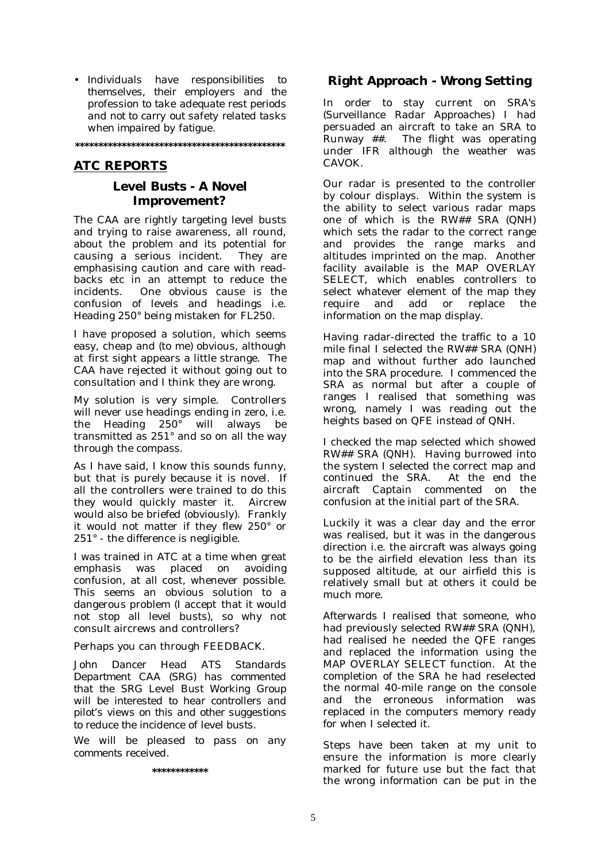• *Individuals have responsibilities to themselves, their employers and the profession to take adequate rest periods and not to carry out safety related tasks when impaired by fatigue.* 

**\*\*\*\*\*\*\*\*\*\*\*\*\*\*\*\*\*\*\*\*\*\*\*\*\*\*\*\*\*\*\*\*\*\*\*\*\*\*\*\*\*\*\*\*\*** 

# **ATC REPORTS**

### **Level Busts - A Novel Improvement?**

The CAA are rightly targeting level busts and trying to raise awareness, all round, about the problem and its potential for causing a serious incident. They are emphasising caution and care with readbacks etc in an attempt to reduce the incidents. One obvious cause is the confusion of levels and headings i.e. Heading 250° being mistaken for FL250.

I have proposed a solution, which seems easy, cheap and (to me) obvious, although at first sight appears a little strange. The CAA have rejected it without going out to consultation and I think they are wrong.

My solution is very simple. Controllers will never use headings ending in zero, i.e. the Heading 250° will always be transmitted as 251° and so on all the way through the compass.

As I have said, I know this sounds funny, but that is purely because it is novel. If all the controllers were trained to do this they would quickly master it. Aircrew would also be briefed (obviously). Frankly it would not matter if they flew 250° or 251° - the difference is negligible.

I was trained in ATC at a time when great emphasis was placed on avoiding confusion, at all cost, whenever possible. This seems an obvious solution to a dangerous problem (I accept that it would not stop all level busts), so why not consult aircrews and controllers?

Perhaps you can through FEEDBACK.

*John Dancer Head ATS Standards Department CAA (SRG) has commented that the SRG Level Bust Working Group will be interested to hear controllers and pilot's views on this and other suggestions to reduce the incidence of level busts.* 

*We will be pleased to pass on any comments received.* 

**\*\*\*\*\*\*\*\*\*\*\*\*** 

## **Right Approach - Wrong Setting**

In order to stay current on SRA's *(Surveillance Radar Approaches*) I had persuaded an aircraft to take an SRA to Runway ##. The flight was operating under IFR although the weather was CAVOK.

Our radar is presented to the controller by colour displays. Within the system is the ability to select various radar maps one of which is the RW## SRA (QNH) which sets the radar to the correct range and provides the range marks and altitudes imprinted on the map. Another facility available is the MAP OVERLAY SELECT, which enables controllers to select whatever element of the map they require and add or replace the information on the map display.

Having radar-directed the traffic to a 10 mile final I selected the RW## SRA (QNH) map and without further ado launched into the SRA procedure. I commenced the SRA as normal but after a couple of ranges I realised that something was wrong, namely I was reading out the heights based on QFE instead of QNH.

I checked the map selected which showed RW## SRA (QNH). Having burrowed into the system I selected the correct map and continued the SRA. At the end the aircraft Captain commented on the confusion at the initial part of the SRA.

Luckily it was a clear day and the error was realised, but it was in the dangerous direction i.e. the aircraft was always going to be the airfield elevation less than its supposed altitude, at our airfield this is relatively small but at others it could be much more.

Afterwards I realised that someone, who had previously selected RW## SRA (QNH), had realised he needed the QFE ranges and replaced the information using the MAP OVERLAY SELECT function. At the completion of the SRA he had reselected the normal 40-mile range on the console and the erroneous information was replaced in the computers memory ready for when I selected it.

Steps have been taken at my unit to ensure the information is more clearly marked for future use but the fact that the wrong information can be put in the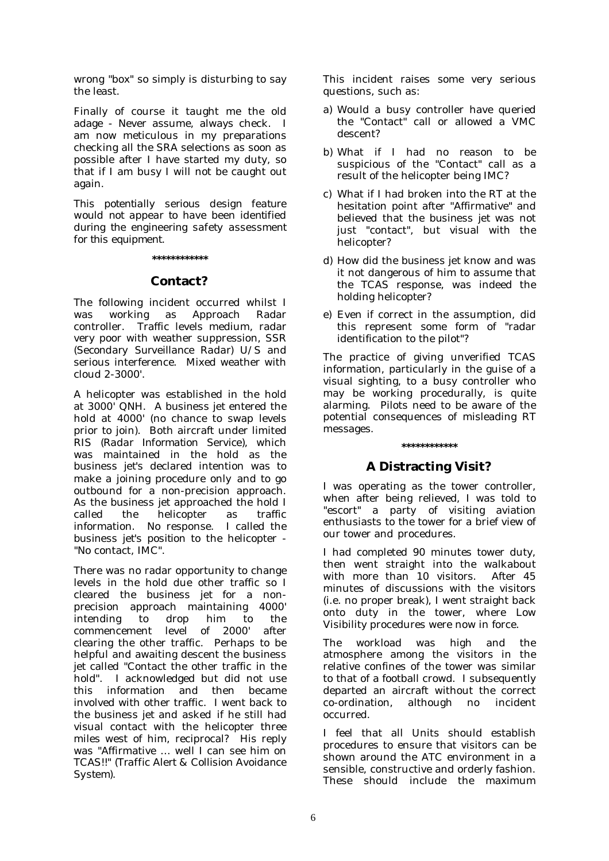wrong "box" so simply is disturbing to say the least.

Finally of course it taught me the old adage - Never assume, always check. I am now meticulous in my preparations checking all the SRA selections as soon as possible after I have started my duty, so that if I am busy I will not be caught out again.

*This potentially serious design feature would not appear to have been identified during the engineering safety assessment for this equipment.* 

### **\*\*\*\*\*\*\*\*\*\*\*\***

### **Contact?**

The following incident occurred whilst I was working as Approach Radar controller. Traffic levels medium, radar very poor with weather suppression, SSR (*Secondary Surveillance Radar*) U/S and serious interference. Mixed weather with cloud 2-3000'.

A helicopter was established in the hold at 3000' QNH. A *business jet* entered the hold at 4000' (no chance to swap levels prior to join). Both aircraft under limited RIS *(Radar Information Service),* which was maintained in the hold as the *business jet's* declared intention was to make a joining procedure only and to go outbound for a non-precision approach. As the *business jet* approached the hold I called the helicopter as traffic information. No response. I called the *business jet's position* to the helicopter - "No contact, IMC".

There was no radar opportunity to change levels in the hold due other traffic so I cleared the *business jet* for a nonprecision approach maintaining 4000' intending to drop him to the commencement level of 2000' after clearing the other traffic. Perhaps to be helpful and awaiting descent the *business jet* called "Contact the other traffic in the hold". I acknowledged but did not use this information and then became involved with other traffic. I went back to the *business jet* and asked if he still had visual contact with the helicopter three miles west of him, reciprocal? His reply was "Affirmative … well I can see him on TCAS!!" *(Traffic Alert & Collision Avoidance System).* 

This incident raises some very serious questions, such as:

- a) Would a busy controller have queried the "Contact" call or allowed a VMC descent?
- b) What if I had no reason to be suspicious of the "Contact" call as a result of the helicopter being IMC?
- c) What if I had broken into the RT at the hesitation point after "Affirmative" and believed that the *business jet* was not just "contact", but visual with the helicopter?
- d) How did the *business jet* know and was it not dangerous of him to assume that the TCAS response, was indeed the holding helicopter?
- e) Even if correct in the assumption, did this represent some form of "radar identification to the pilot"?

The practice of giving unverified TCAS information, particularly in the guise of a visual sighting, to a busy controller who may be working procedurally, is quite alarming. Pilots need to be aware of the potential consequences of misleading RT messages.

# **A Distracting Visit?**

**\*\*\*\*\*\*\*\*\*\*\*\*** 

I was operating as the tower controller, when after being relieved, I was told to "escort" a party of visiting aviation enthusiasts to the tower for a brief view of our tower and procedures.

I had completed 90 minutes tower duty, then went straight into the walkabout with more than 10 visitors. After 45 minutes of discussions with the visitors (i.e. no proper break), I went straight back onto duty in the tower, where Low Visibility procedures were now in force.

The workload was high and the atmosphere among the visitors in the relative confines of the tower was similar to that of a football crowd. I subsequently departed an aircraft without the correct co-ordination, although no incident occurred.

I feel that all Units should establish procedures to ensure that visitors can be shown around the ATC environment in a sensible, constructive and orderly fashion. These should include the maximum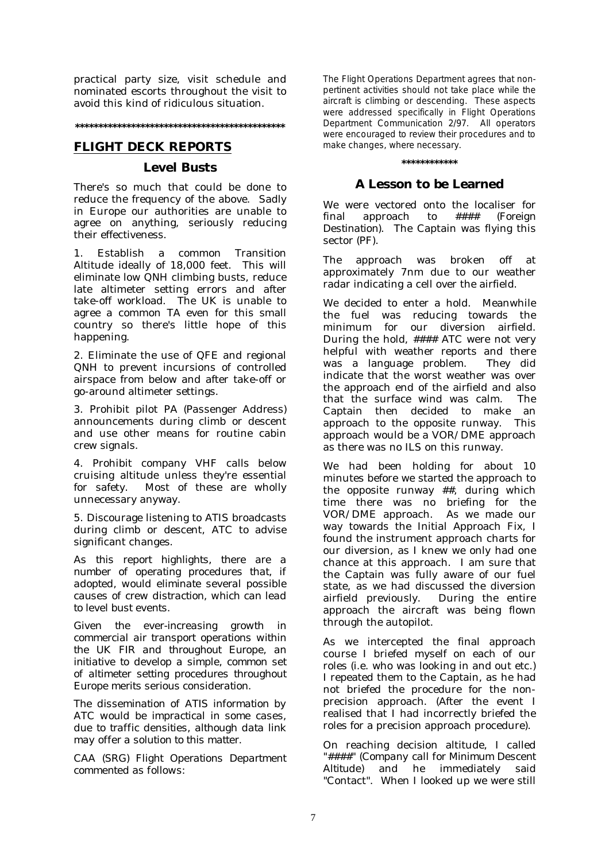practical party size, visit schedule and nominated escorts throughout the visit to avoid this kind of ridiculous situation.

### **\*\*\*\*\*\*\*\*\*\*\*\*\*\*\*\*\*\*\*\*\*\*\*\*\*\*\*\*\*\*\*\*\*\*\*\*\*\*\*\*\*\*\*\*\***

### **FLIGHT DECK REPORTS**

### **Level Busts**

There's so much that could be done to reduce the frequency of the above. Sadly in Europe our authorities are unable to agree on anything, seriously reducing their effectiveness.

1. Establish a common Transition Altitude ideally of 18,000 feet. This will eliminate low QNH climbing busts, reduce late altimeter setting errors and after take-off workload. The UK is unable to agree a common TA even for this small country so there's little hope of this happening.

2. Eliminate the use of QFE and regional QNH to prevent incursions of controlled airspace from below and after take-off or go-around altimeter settings.

3. Prohibit pilot PA *(Passenger Address)* announcements during climb or descent and use other means for routine cabin crew signals.

4. Prohibit company VHF calls below cruising altitude unless they're essential for safety. Most of these are wholly unnecessary anyway.

5. Discourage listening to ATIS broadcasts during climb or descent, ATC to advise significant changes.

*As this report highlights, there are a number of operating procedures that, if adopted, would eliminate several possible causes of crew distraction, which can lead to level bust events.* 

*Given the ever-increasing growth in commercial air transport operations within the UK FIR and throughout Europe, an initiative to develop a simple, common set of altimeter setting procedures throughout Europe merits serious consideration.* 

*The dissemination of ATIS information by ATC would be impractical in some cases, due to traffic densities, although data link may offer a solution to this matter.* 

*CAA (SRG) Flight Operations Department commented as follows:* 

The Flight Operations Department agrees that nonpertinent activities should not take place while the aircraft is climbing or descending. These aspects were addressed specifically in Flight Operations Department Communication 2/97. All operators were encouraged to review their procedures and to make changes, where necessary.

### **\*\*\*\*\*\*\*\*\*\*\*\***

### **A Lesson to be Learned**

We were vectored onto the localiser for final approach to #### *(Foreign Destination)*. The Captain was flying this sector (PF).

The approach was broken off at approximately 7nm due to our weather radar indicating a cell over the airfield.

We decided to enter a hold. Meanwhile the fuel was reducing towards the minimum for our diversion airfield. During the hold, #### ATC were not very helpful with weather reports and there was a language problem. They did indicate that the worst weather was over the approach end of the airfield and also that the surface wind was calm. The Captain then decided to make an approach to the opposite runway. This approach would be a VOR/DME approach as there was no ILS on this runway.

We had been holding for about 10 minutes before we started the approach to the opposite runway ##, during which time there was no briefing for the VOR/DME approach. As we made our way towards the Initial Approach Fix, I found the instrument approach charts for our diversion, as I knew we only had one chance at this approach. I am sure that the Captain was fully aware of our fuel state, as we had discussed the diversion<br>airfield previously. During the entire During the entire approach the aircraft was being flown through the autopilot.

As we intercepted the final approach course I briefed myself on each of our roles (i.e. who was looking in and out etc.) I repeated them to the Captain, as he had not briefed the procedure for the nonprecision approach. (After the event I realised that I had incorrectly briefed the roles for a precision approach procedure).

On reaching decision altitude, I called "####" *(Company call for Minimum Descent Altitude)* and he immediately said "Contact". When I looked up we were still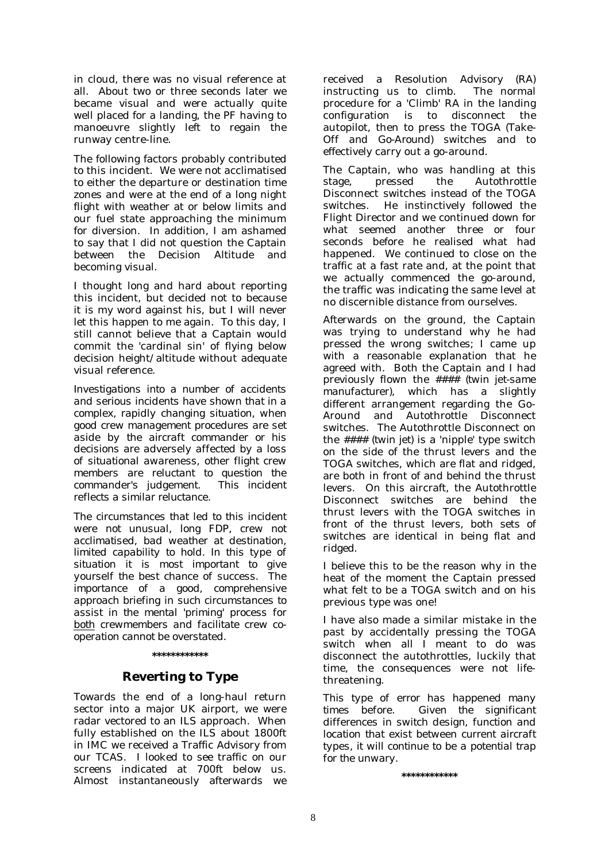in cloud, there was no visual reference at all. About two or three seconds later we became visual and were actually quite well placed for a landing, the PF having to manoeuvre slightly left to regain the runway centre-line.

The following factors probably contributed to this incident. We were not acclimatised to either the departure or destination time zones and were at the end of a long night flight with weather at or below limits and our fuel state approaching the minimum for diversion. In addition, I am ashamed to say that I did not question the Captain between the Decision Altitude and becoming visual.

I thought long and hard about reporting this incident, but decided not to because it is my word against his, but I will never let this happen to me again. To this day, I still cannot believe that a Captain would commit the 'cardinal sin' of flying below decision height/altitude without adequate visual reference.

*Investigations into a number of accidents and serious incidents have shown that in a complex, rapidly changing situation, when good crew management procedures are set aside by the aircraft commander or his decisions are adversely affected by a loss of situational awareness, other flight crew members are reluctant to question the commander's judgement. This incident reflects a similar reluctance.* 

*The circumstances that led to this incident were not unusual, long FDP, crew not acclimatised, bad weather at destination, limited capability to hold. In this type of situation it is most important to give yourself the best chance of success. The importance of a good, comprehensive approach briefing in such circumstances to assist in the mental 'priming' process for both crewmembers and facilitate crew cooperation cannot be overstated.* 

### **\*\*\*\*\*\*\*\*\*\*\*\***

## **Reverting to Type**

Towards the end of a long-haul return sector into a major UK airport, we were radar vectored to an ILS approach. When fully established on the ILS about 1800ft in IMC we received a Traffic Advisory from our TCAS. I looked to see traffic on our screens indicated at 700ft below us. Almost instantaneously afterwards we

received a Resolution Advisory (RA) instructing us to climb. The normal procedure for a 'Climb' RA in the landing configuration is to disconnect the autopilot, then to press the TOGA *(Take-Off and Go-Around)* switches and to effectively carry out a go-around.

The Captain, who was handling at this stage, pressed the Autothrottle Disconnect switches instead of the TOGA switches. He instinctively followed the Flight Director and we continued down for what seemed another three or four seconds before he realised what had happened. We continued to close on the traffic at a fast rate and, at the point that we actually commenced the go-around, the traffic was indicating the same level at no discernible distance from ourselves.

Afterwards on the ground, the Captain was trying to understand why he had pressed the wrong switches; I came up with a reasonable explanation that he agreed with. Both the Captain and I had previously flown the #### *(twin jet-same manufacturer)*, which has a slightly different arrangement regarding the Go-Around and Autothrottle Disconnect switches. The Autothrottle Disconnect on the #### *(twin jet)* is a 'nipple' type switch on the side of the thrust levers and the TOGA switches, which are flat and ridged, are both in front of and behind the thrust levers. On this aircraft, the Autothrottle Disconnect switches are behind the thrust levers with the TOGA switches in front of the thrust levers, both sets of switches are identical in being flat and ridged.

I believe this to be the reason why in the heat of the moment the Captain pressed what felt to be a TOGA switch and on his previous type was one!

I have also made a similar mistake in the past by accidentally pressing the TOGA switch when all I meant to do was disconnect the autothrottles, luckily that time, the consequences were not lifethreatening.

*This type of error has happened many times before. Given the significant differences in switch design, function and location that exist between current aircraft types, it will continue to be a potential trap for the unwary.* 

**\*\*\*\*\*\*\*\*\*\*\*\***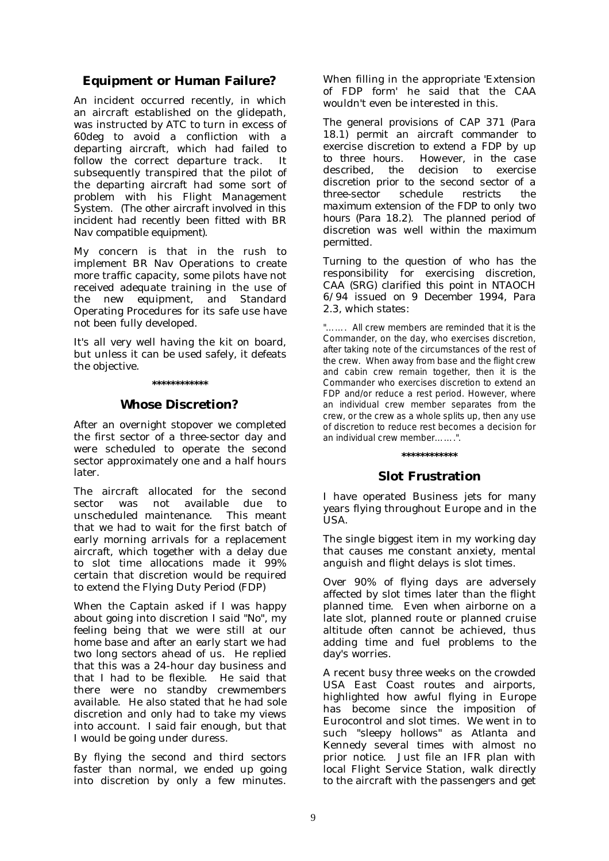# **Equipment or Human Failure?**

An incident occurred recently, in which an aircraft established on the glidepath, was instructed by ATC to turn in excess of 60deg to avoid a confliction with a departing aircraft, which had failed to follow the correct departure track. It subsequently transpired that the pilot of the departing aircraft had some sort of problem with his Flight Management System. *(The other aircraft involved in this incident had recently been fitted with BR Nav compatible equipment)*.

My concern is that in the rush to implement BR Nav Operations to create more traffic capacity, some pilots have not received adequate training in the use of the new equipment, and Standard Operating Procedures for its safe use have not been fully developed.

It's all very well having the kit on board, but unless it can be used safely, it defeats the objective.

### **\*\*\*\*\*\*\*\*\*\*\*\***

### **Whose Discretion?**

After an overnight stopover we completed the first sector of a three-sector day and were scheduled to operate the second sector approximately one and a half hours later.

The aircraft allocated for the second sector was not available due to unscheduled maintenance. This meant that we had to wait for the first batch of early morning arrivals for a replacement aircraft, which together with a delay due to slot time allocations made it 99% certain that discretion would be required to extend the Flying Duty Period (FDP)

When the Captain asked if I was happy about going into discretion I said "No", my feeling being that we were still at our home base and after an early start we had two long sectors ahead of us. He replied that this was a 24-hour day business and that I had to be flexible. He said that there were no standby crewmembers available. He also stated that he had sole discretion and only had to take my views into account. I said fair enough, but that I would be going under duress.

By flying the second and third sectors faster than normal, we ended up going into discretion by only a few minutes. When filling in the appropriate 'Extension of FDP form' he said that the CAA wouldn't even be interested in this.

*The general provisions of CAP 371 (Para 18.1) permit an aircraft commander to exercise discretion to extend a FDP by up to three hours. However, in the case described, the decision to exercise discretion prior to the second sector of a three-sector schedule restricts the maximum extension of the FDP to only two hours (Para 18.2). The planned period of discretion was well within the maximum permitted.* 

*Turning to the question of who has the responsibility for exercising discretion, CAA (SRG) clarified this point in NTAOCH 6/94 issued on 9 December 1994, Para 2.3, which states:* 

"……. All crew members are reminded that it is the Commander, on the day, who exercises discretion, after taking note of the circumstances of the rest of the crew. When away from base and the flight crew and cabin crew remain together, then it is the Commander who exercises discretion to extend an FDP and/or reduce a rest period. However, where an individual crew member separates from the crew, or the crew as a whole splits up, then any use of discretion to reduce rest becomes a decision for an individual crew member…….".

### **\*\*\*\*\*\*\*\*\*\*\*\***

## **Slot Frustration**

I have operated Business jets for many years flying throughout Europe and in the USA.

The single biggest item in my working day that causes me constant anxiety, mental anguish and flight delays is slot times.

Over 90% of flying days are adversely affected by slot times later than the flight planned time. Even when airborne on a late slot, planned route or planned cruise altitude often cannot be achieved, thus adding time and fuel problems to the day's worries.

A recent busy three weeks on the crowded USA East Coast routes and airports, highlighted how awful flying in Europe has become since the imposition of Eurocontrol and slot times. We went in to such "sleepy hollows" as Atlanta and Kennedy several times with almost no prior notice. Just file an IFR plan with local Flight Service Station, walk directly to the aircraft with the passengers and get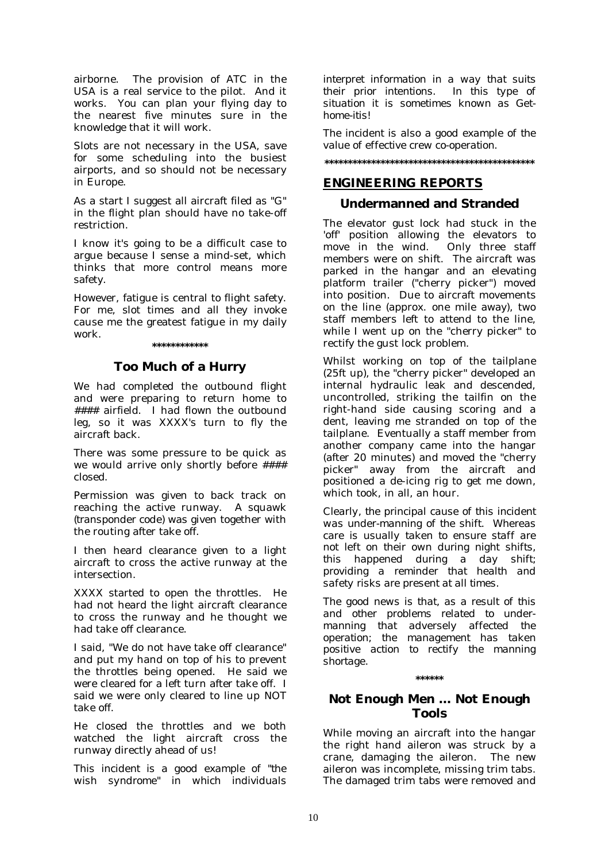airborne. The provision of ATC in the USA is a real service to the pilot. And it works. You can plan your flying day to the nearest five minutes sure in the knowledge that it will work.

Slots are not necessary in the USA, save for some scheduling into the busiest airports, and so should not be necessary in Europe.

As a start I suggest all aircraft filed as "G" in the flight plan should have no take-off restriction.

I know it's going to be a difficult case to argue because I sense a mind-set, which thinks that more control means more safety.

However, fatigue is central to flight safety. For me, slot times and all they invoke cause me the greatest fatigue in my daily work.

### **\*\*\*\*\*\*\*\*\*\*\*\***

### **Too Much of a Hurry**

We had completed the outbound flight and were preparing to return home to #### airfield. I had flown the outbound leg, so it was XXXX's turn to fly the aircraft back.

There was some pressure to be quick as we would arrive only shortly before #### closed.

Permission was given to back track on reaching the active runway. A squawk *(transponder code)* was given together with the routing after take off.

I then heard clearance given to a light aircraft to cross the active runway at the intersection.

XXXX started to open the throttles. He had not heard the light aircraft clearance to cross the runway and he thought we had take off clearance.

I said, "We do not have take off clearance" and put my hand on top of his to prevent the throttles being opened. He said we were cleared for a left turn after take off. I said we were only cleared to line up NOT take off.

He closed the throttles and we both watched the light aircraft cross the runway directly ahead of us!

*This incident is a good example of "the wish syndrome" in which individuals*  *interpret information in a way that suits their prior intentions. In this type of situation it is sometimes known as Gethome-itis!* 

*The incident is also a good example of the value of effective crew co-operation.* 

# **\*\*\*\*\*\*\*\*\*\*\*\*\*\*\*\*\*\*\*\*\*\*\*\*\*\*\*\*\*\*\*\*\*\*\*\*\*\*\*\*\*\*\*\*\***

### **ENGINEERING REPORTS**

### **Undermanned and Stranded**

The elevator gust lock had stuck in the 'off' position allowing the elevators to move in the wind. Only three staff members were on shift. The aircraft was parked in the hangar and an elevating platform trailer ("cherry picker") moved into position. Due to aircraft movements on the line (approx. one mile away), two staff members left to attend to the line, while I went up on the "cherry picker" to rectify the gust lock problem.

Whilst working on top of the tailplane (25ft up), the "cherry picker" developed an internal hydraulic leak and descended, uncontrolled, striking the tailfin on the right-hand side causing scoring and a dent, leaving me stranded on top of the tailplane. Eventually a staff member from another company came into the hangar (after 20 minutes) and moved the "cherry picker" away from the aircraft and positioned a de-icing rig to get me down, which took, in all, an hour.

*Clearly, the principal cause of this incident was under-manning of the shift. Whereas care is usually taken to ensure staff are not left on their own during night shifts, this happened during a day shift; providing a reminder that health and safety risks are present at all times.* 

*The good news is that, as a result of this and other problems related to undermanning that adversely affected the operation; the management has taken positive action to rectify the manning shortage.* 

### **\*\*\*\*\*\***

### **Not Enough Men … Not Enough Tools**

While moving an aircraft into the hangar the right hand aileron was struck by a crane, damaging the aileron. The new aileron was incomplete, missing trim tabs. The damaged trim tabs were removed and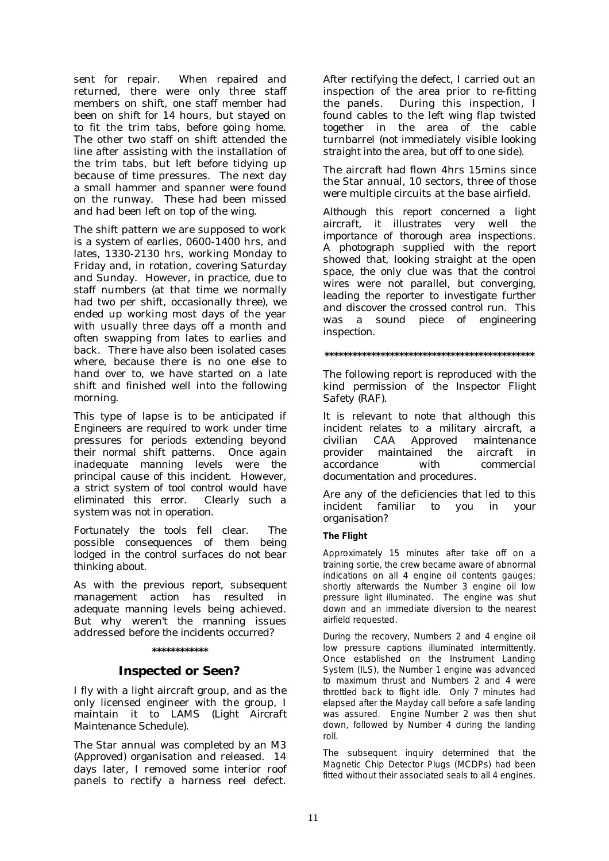sent for repair. When repaired and returned, there were only three staff members on shift, one staff member had been on shift for 14 hours, but stayed on to fit the trim tabs, before going home. The other two staff on shift attended the line after assisting with the installation of the trim tabs, but left before tidying up because of time pressures. The next day a small hammer and spanner were found on the runway. These had been missed and had been left on top of the wing.

The shift pattern we are supposed to work is a system of earlies, 0600-1400 hrs, and lates, 1330-2130 hrs, working Monday to Friday and, in rotation, covering Saturday and Sunday. However, in practice, due to staff numbers (at that time we normally had two per shift, occasionally three), we ended up working most days of the year with usually three days off a month and often swapping from lates to earlies and back. There have also been isolated cases where, because there is no one else to hand over to, we have started on a late shift and finished well into the following morning.

*This type of lapse is to be anticipated if Engineers are required to work under time pressures for periods extending beyond their normal shift patterns. Once again inadequate manning levels were the principal cause of this incident. However, a strict system of tool control would have eliminated this error. Clearly such a system was not in operation.* 

*Fortunately the tools fell clear. The possible consequences of them being lodged in the control surfaces do not bear thinking about.* 

*As with the previous report, subsequent management action has resulted in adequate manning levels being achieved. But why weren't the manning issues addressed before the incidents occurred?* 

### **\*\*\*\*\*\*\*\*\*\*\*\***

### **Inspected or Seen?**

I fly with a light aircraft group, and as the only licensed engineer with the group, I maintain it to LAMS *(Light Aircraft Maintenance Schedule).* 

The Star annual was completed by an M3 *(Approved*) organisation and released. 14 days later, I removed some interior roof panels to rectify a harness reel defect.

After rectifying the defect, I carried out an inspection of the area prior to re-fitting the panels. During this inspection, I found cables to the left wing flap twisted together in the area of the cable turnbarrel *(not immediately visible looking straight into the area, but off to one side)*.

The aircraft had flown 4hrs 15mins since the Star annual, 10 sectors, three of those were multiple circuits at the base airfield.

*Although this report concerned a light aircraft, it illustrates very well the importance of thorough area inspections. A photograph supplied with the report showed that, looking straight at the open space, the only clue was that the control wires were not parallel, but converging, leading the reporter to investigate further and discover the crossed control run. This was a sound piece of engineering inspection.* 

### **\*\*\*\*\*\*\*\*\*\*\*\*\*\*\*\*\*\*\*\*\*\*\*\*\*\*\*\*\*\*\*\*\*\*\*\*\*\*\*\*\*\*\*\*\***

*The following report is reproduced with the kind permission of the Inspector Flight Safety (RAF).* 

*It is relevant to note that although this incident relates to a military aircraft, a civilian CAA Approved maintenance provider maintained the aircraft in accordance with commercial documentation and procedures.* 

*Are any of the deficiencies that led to this incident familiar to you in your organisation?* 

### **The Flight**

Approximately 15 minutes after take off on a training sortie, the crew became aware of abnormal indications on all 4 engine oil contents gauges; shortly afterwards the Number 3 engine oil low pressure light illuminated. The engine was shut down and an immediate diversion to the nearest airfield requested.

During the recovery, Numbers 2 and 4 engine oil low pressure captions illuminated intermittently. Once established on the Instrument Landing System (ILS), the Number 1 engine was advanced to maximum thrust and Numbers 2 and 4 were throttled back to flight idle. Only 7 minutes had elapsed after the Mayday call before a safe landing was assured. Engine Number 2 was then shut down, followed by Number 4 during the landing roll.

The subsequent inquiry determined that the Magnetic Chip Detector Plugs (MCDPs) had been fitted without their associated seals to all 4 engines.